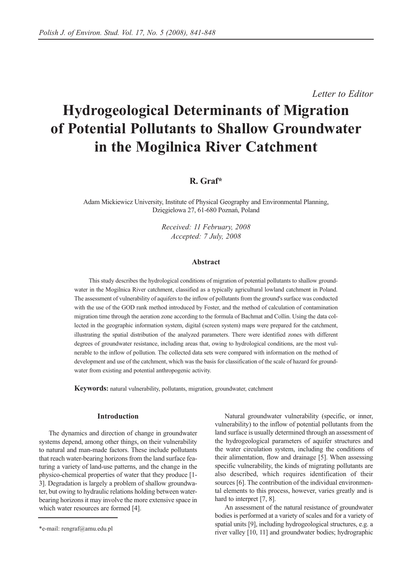*Letter to Editor*

# **Hydrogeological Determinants of Migration of Potential Pollutants to Shallow Groundwater in the Mogilnica River Catchment**

# **R. Graf\***

Adam Mickiewicz University, Institute of Physical Geography and Environmental Planning, Dzięgielowa 27, 61-680 Poznań, Poland

> *Received: 11 February, 2008 Accepted: 7 July, 2008*

#### **Abstract**

This study describes the hydrological conditions of migration of potential pollutants to shallow groundwater in the Mogilnica River catchment, classified as a typically agricultural lowland catchment in Poland. The assessment of vulnerability of aquifers to the inflow of pollutants from the ground's surface was conducted with the use of the GOD rank method introduced by Foster, and the method of calculation of contamination migration time through the aeration zone according to the formula of Bachmat and Collin. Using the data collected in the geographic information system, digital (screen system) maps were prepared for the catchment, illustrating the spatial distribution of the analyzed parameters. There were identified zones with different degrees of groundwater resistance, including areas that, owing to hydrological conditions, are the most vulnerable to the inflow of pollution. The collected data sets were compared with information on the method of development and use of the catchment, which was the basis for classification of the scale of hazard for groundwater from existing and potential anthropogenic activity.

**Keywords:** natural vulnerability, pollutants, migration, groundwater, catchment

## **Introduction**

The dynamics and direction of change in groundwater systems depend, among other things, on their vulnerability to natural and man-made factors. These include pollutants that reach water-bearing horizons from the land surface featuring a variety of land-use patterns, and the change in the physico-chemical properties of water that they produce [1- 3]. Degradation is largely a problem of shallow groundwater, but owing to hydraulic relations holding between waterbearing horizons it may involve the more extensive space in which water resources are formed [4].

Natural groundwater vulnerability (specific, or inner, vulnerability) to the inflow of potential pollutants from the land surface is usually determined through an assessment of the hydrogeological parameters of aquifer structures and the water circulation system, including the conditions of their alimentation, flow and drainage [5]. When assessing specific vulnerability, the kinds of migrating pollutants are also described, which requires identification of their sources [6]. The contribution of the individual environmental elements to this process, however, varies greatly and is hard to interpret [7, 8].

An assessment of the natural resistance of groundwater bodies is performed at a variety of scales and for a variety of spatial units [9], including hydrogeological structures, e.g. a river valley [10, 11] and groundwater bodies; hydrographic

<sup>\*</sup>e-mail: rengraf@amu.edu.pl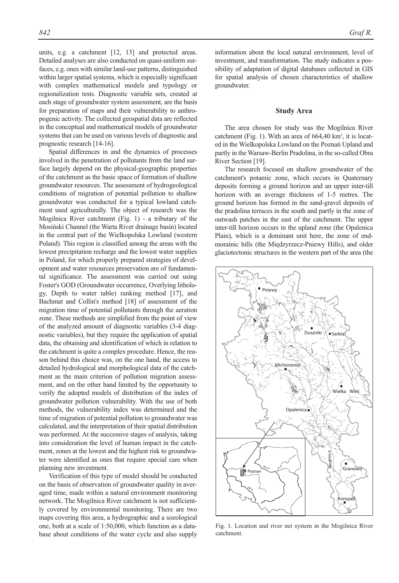units, e.g. a catchment [12, 13] and protected areas. Detailed analyses are also conducted on quasi-uniform surfaces, e.g. ones with similar land-use patterns, distinguished within larger spatial systems, which is especially significant with complex mathematical models and typology or regionalization tests. Diagnostic variable sets, created at each stage of groundwater system assessment, are the basis for preparation of maps and their vulnerability to anthropogenic activity. The collected geospatial data are reflected in the conceptual and mathematical models of groundwater systems that can be used on various levels of diagnostic and prognostic research [14-16].

Spatial differences in and the dynamics of processes involved in the penetration of pollutants from the land surface largely depend on the physical-geographic properties of the catchment as the basic space of formation of shallow groundwater resources. The assessment of hydrogeological conditions of migration of potential pollution to shallow groundwater was conducted for a typical lowland catchment used agriculturally. The object of research was the Mogilnica River catchment (Fig. 1) - a tributary of the Mosiński Channel (the Warta River drainage basin) located in the central part of the Wielkopolska Lowland (western Poland). This region is classified among the areas with the lowest precipitation recharge and the lowest water supplies in Poland, for which properly prepared strategies of development and water resources preservation are of fundamental significance. The assessment was carried out using Foster's GOD (Groundwater occurrence, Overlying lithology, Depth to water table) ranking method [17], and Bachmat and Collin's method [18] of assessment of the migration time of potential pollutants through the aeration zone. These methods are simplified from the point of view of the analyzed amount of diagnostic variables (3-4 diagnostic variables), but they require the application of spatial data, the obtaining and identification of which in relation to the catchment is quite a complex procedure. Hence, the reason behind this choice was, on the one hand, the access to detailed hydrological and morphological data of the catchment as the main criterion of pollution migration assessment, and on the other hand limited by the opportunity to verify the adopted models of distribution of the index of groundwater pollution vulnerability. With the use of both methods, the vulnerability index was determined and the time of migration of potential pollution to groundwater was calculated, and the interpretation of their spatial distribution was performed. At the successive stages of analysis, taking into consideration the level of human impact in the catchment, zones at the lowest and the highest risk to groundwater were identified as ones that require special care when planning new investment.

Verification of this type of model should be conducted on the basis of observation of groundwater quality in averaged time, made within a natural environment monitoring network. The Mogilnica River catchment is not sufficiently covered by environmental monitoring. There are two maps covering this area, a hydrographic and a sozological one, both at a scale of 1:50,000, which function as a database about conditions of the water cycle and also supply

information about the local natural environment, level of investment, and transformation. The study indicates a possibility of adaptation of digital databases collected in GIS for spatial analysis of chosen characteristics of shallow groundwater.

#### **Study Area**

The area chosen for study was the Mogilnica River catchment (Fig. 1). With an area of  $664,40 \text{ km}^2$ , it is located in the Wielkopolska Lowland on the Poznań Upland and partly in the Warsaw-Berlin Pradolina, in the so-called Obra River Section [19].

The research focused on shallow groundwater of the catchment's potamic zone, which occurs in Quaternary deposits forming a ground horizon and an upper inter-till horizon with an average thickness of 1-5 metres. The ground horizon has formed in the sand-gravel deposits of the pradolina terraces in the south and partly in the zone of outwash patches in the east of the catchment. The upper inter-till horizon occurs in the upland zone (the Opalenica Plain), which is a dominant unit here, the zone of endmorainic hills (the Międzyrzecz-Pniewy Hills), and older glaciotectonic structures in the western part of the area (the



Fig. 1. Location and river net system in the Mogilnica River catchment.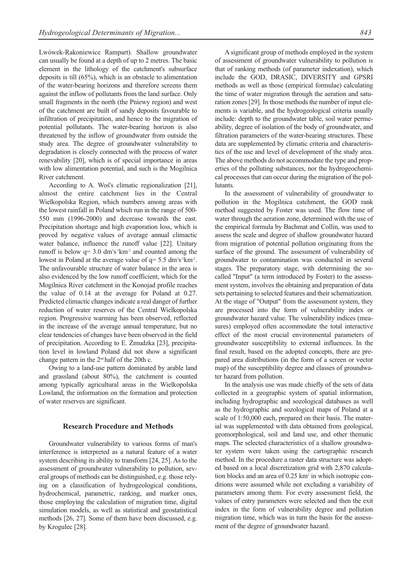Lwówek-Rakoniewice Rampart). Shallow groundwater can usually be found at a depth of up to 2 metres. The basic element in the lithology of the catchment's subsurface deposits is till (65%), which is an obstacle to alimentation of the water-bearing horizons and therefore screens them against the inflow of pollutants from the land surface. Only small fragments in the north (the Pniewy region) and west of the catchment are built of sandy deposits favourable to infiltration of precipitation, and hence to the migration of potential pollutants. The water-bearing horizon is also threatened by the inflow of groundwater from outside the study area. The degree of groundwater vulnerability to degradation is closely connected with the process of water renevability [20], which is of special importance in areas with low alimentation potential, and such is the Mogilnica River catchment.

According to A. Woś's climatic regionalization [21], almost the entire catchment lies in the Central Wielkopolska Region, which numbers among areas with the lowest rainfall in Poland which run in the range of 500- 550 mm (1996-2000) and decrease towards the east. Precipitation shortage and high evaporation loss, which is proved by negative values of average annual climactic water balance, influence the runoff value [22]. Unitary runoff is below  $q=3.0 \text{ dm}^3 s^1 \text{km}^2$  and counted among the lowest in Poland at the average value of  $q = 5.5$  dm<sup>3</sup>s<sup>-1</sup>km<sup>2</sup>. The unfavourable structure of water balance in the area is also evidenced by the low runoff coefficient, which for the Mogilnica River catchment in the Konojad profile reaches the value of 0.14 at the average for Poland at 0.27. Predicted climactic changes indicate a real danger of further reduction of water reserves of the Central Wielkopolska region. Progressive warming has been observed, reflected in the increase of the average annual temperature, but no clear tendencies of changes have been observed in the field of precipitation. According to E. Żmudzka [23], precipitation level in lowland Poland did not show a significant change pattern in the  $2<sup>nd</sup>$  half of the 20th c.

Owing to a land-use pattern dominated by arable land and grassland (about 80%), the catchment is counted among typically agricultural areas in the Wielkopolska Lowland, the information on the formation and protection of water reserves are significant.

#### **Research Procedure and Methods**

Groundwater vulnerability to various forms of man's interference is interpreted as a natural feature of a water system describing its ability to transform [24, 25]. As to the assessment of groundwater vulnerability to pollution, several groups of methods can be distinguished, e.g. those relying on a classification of hydrogeological conditions, hydrochemical, parametric, ranking, and marker ones, those employing the calculation of migration time, digital simulation models, as well as statistical and geostatistical methods [26, 27]. Some of them have been discussed, e.g. by Krogulec [28].

A significant group of methods employed in the system of assessment of groundwater vulnerability to pollution is that of ranking methods (of parameter indexation), which include the GOD, DRASIC, DIVERSITY and GPSRI methods as well as those (empirical formulae) calculating the time of water migration through the aeration and saturation zones [29]. In those methods the number of input elements is variable, and the hydrogeological criteria usually include: depth to the groundwater table, soil water permeability, degree of isolation of the body of groundwater, and filtration parameters of the water-bearing structures. These data are supplemented by climatic criteria and characteristics of the use and level of development of the study area. The above methods do not accommodate the type and properties of the polluting substances, nor the hydrogeochemical processes that can occur during the migration of the pollutants.

In the assessment of vulnerability of groundwater to pollution in the Mogilnica catchment, the GOD rank method suggested by Foster was used. The flow time of water through the aeration zone, determined with the use of the empirical formula by Bachmat and Collin, was used to assess the scale and degree of shallow groundwater hazard from migration of potential pollution originating from the surface of the ground. The assessment of vulnerability of groundwater to contamination was conducted in several stages. The preparatory stage, with determining the socalled "Input" (a term introduced by Foster) to the assessment system, involves the obtaining and preparation of data sets pertaining to selected features and their schematization. At the stage of "Output" from the assessment system, they are processed into the form of vulnerability index or groundwater hazard value. The vulnerability indices (measures) employed often accommodate the total interactive effect of the most crucial environmental parameters of groundwater susceptibility to external influences. In the final result, based on the adopted concepts, there are prepared area distributions (in the form of a screen or vector map) of the susceptibility degree and classes of groundwater hazard from pollution.

In the analysis use was made chiefly of the sets of data collected in a geographic system of spatial information, including hydrographic and sozological databases as well as the hydrographic and sozological maps of Poland at a scale of 1:50,000 each, prepared on their basis. The material was supplemented with data obtained from geological, geomorphological, soil and land use, and other thematic maps. The selected characteristics of a shallow groundwater system were taken using the cartographic research method. In the procedure a raster data structure was adopted based on a local discretization grid with 2,870 calculation blocks and an area of 0.25 km<sup>2</sup> in which isotropic conditions were assumed while not excluding a variability of parameters among them. For every assessment field, the values of entry parameters were selected and then the exit index in the form of vulnerability degree and pollution migration time, which was in turn the basis for the assessment of the degree of groundwater hazard.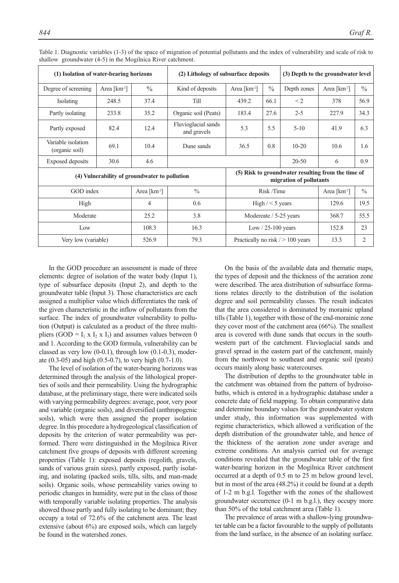| (1) Isolation of water-bearing horizons       |                          |                          | (2) Lithology of subsurface deposits |                                                                               |               | (3) Depth to the groundwater level |               |                |
|-----------------------------------------------|--------------------------|--------------------------|--------------------------------------|-------------------------------------------------------------------------------|---------------|------------------------------------|---------------|----------------|
| Degree of screening                           | Area [km <sup>-2</sup> ] | $\frac{0}{0}$            | Kind of deposits                     | Area [km <sup>-2</sup> ]                                                      | $\frac{0}{0}$ | Depth zones                        | Area $[km^2]$ | $\frac{0}{0}$  |
| <b>Isolating</b>                              | 248.5                    | 37.4                     | Till                                 | 439.2                                                                         | 66.1          | $\leq$ 2                           | 378           | 56.9           |
| Partly isolating                              | 233.8                    | 35.2                     | Organic soil (Peats)                 | 183.4                                                                         | 27.6          | $2 - 5$                            | 227.9         | 34.3           |
| Partly exposed                                | 82.4                     | 12.4                     | Fluvioglacial sands<br>and gravels   | 5.3                                                                           | 5.5           | $5 - 10$                           | 41.9          | 6.3            |
| Variable isolation<br>(organic soil)          | 69.1                     | 10.4                     | Dune sands                           | 36.5                                                                          | 0.8           | $10 - 20$                          | 10.6          | 1.6            |
| <b>Exposed</b> deposits                       | 30.6                     | 4.6                      |                                      |                                                                               |               | $20 - 50$                          | 6             | 0.9            |
| (4) Vulnerability of groundwater to pollution |                          |                          |                                      | (5) Risk to groundwater resulting from the time of<br>migration of pollutants |               |                                    |               |                |
| GOD index                                     |                          | Area [km <sup>-2</sup> ] | $\frac{0}{0}$                        | Risk /Time                                                                    |               | Area [km <sup>-2</sup> ]           | $\frac{0}{0}$ |                |
| High                                          |                          | $\overline{4}$           | 0.6                                  | High $/ < 5$ years                                                            |               | 129.6                              | 19.5          |                |
| Moderate                                      |                          | 25.2                     | 3.8                                  | Modereate / 5-25 years                                                        |               | 368.7                              | 55.5          |                |
| Low                                           |                          | 108.3                    | 16.3                                 | Low $/$ 25-100 years                                                          |               | 152.8                              | 23            |                |
| Very low (variable)                           |                          | 526.9                    | 79.3                                 | Practically no risk $/$ > 100 years                                           |               |                                    | 13.3          | $\overline{2}$ |

Table 1. Diagnostic variables (1-3) of the space of migration of potential pollutants and the index of vulnerability and scale of risk to shallow groundwater (4-5) in the Mogilnica River catchment.

In the GOD procedure an assessment is made of three elements: degree of isolation of the water body (Input 1), type of subsurface deposits (Input 2), and depth to the groundwater table (Input 3). Those characteristics are each assigned a multiplier value which differentiates the rank of the given characteristic in the inflow of pollutants from the surface. The index of groundwater vulnerability to pollution (Output) is calculated as a product of the three multipliers (GOD =  $I_1$  x  $I_2$  x  $I_3$ ) and assumes values between 0 and 1. According to the GOD formula, vulnerability can be classed as very low (0-0.1), through low (0.1-0.3), moderate (0.3-05) and high (0.5-0.7), to very high (0.7-1.0).

The level of isolation of the water-bearing horizons was determined through the analysis of the lithological properties of soils and their permeability. Using the hydrographic database, at the preliminary stage, there were indicated soils with varying permeability degrees: average, poor, very poor and variable (organic soils), and diversified (anthropogenic soils), which were then assigned the proper isolation degree. In this procedure a hydrogeological classification of deposits by the criterion of water permeability was performed. There were distinguished in the Mogilnica River catchment five groups of deposits with different screening properties (Table 1): exposed deposits (regolith, gravels, sands of various grain sizes), partly exposed, partly isolating, and isolating (packed soils, tills, silts, and man-made soils). Organic soils, whose permeability varies owing to periodic changes in humidity, were put in the class of those with temporally variable isolating properties. The analysis showed those partly and fully isolating to be dominant; they occupy a total of 72.6% of the catchment area. The least extensive (about 6%) are exposed soils, which can largely be found in the watershed zones.

On the basis of the available data and thematic maps, the types of deposit and the thickness of the aeration zone were described. The area distribution of subsurface formations relates directly to the distribution of the isolation degree and soil permeability classes. The result indicates that the area considered is dominated by morainic upland tills (Table 1), together with those of the end-morainic zone they cover most of the catchment area (66%). The smallest area is covered with dune sands that occurs in the southwestern part of the catchment. Fluvioglacial sands and gravel spread in the eastern part of the catchment, mainly from the northwest to southeast and organic soil (peats) occurs mainly along basic watercourses.

The distribution of depths to the groundwater table in the catchment was obtained from the pattern of hydroisobaths, which is entered in a hydrographic database under a concrete date of field mapping. To obtain comparative data and determine boundary values for the groundwater system under study, this information was supplemented with regime characteristics, which allowed a verification of the depth distribution of the groundwater table, and hence of the thickness of the aeration zone under average and extreme conditions. An analysis carried out for average conditions revealed that the groundwater table of the first water-bearing horizon in the Mogilnica River catchment occurred at a depth of 0.5 m to 25 m below ground level, but in most of the area (48.2%) it could be found at a depth of 1-2 m b.g.l. Together with the zones of the shallowest groundwater occurrence (0-1 m b.g.l.), they occupy more than 50% of the total catchment area (Table 1).

The prevalence of areas with a shallow-lying groundwater table can be a factor favourable to the supply of pollutants from the land surface, in the absence of an isolating surface.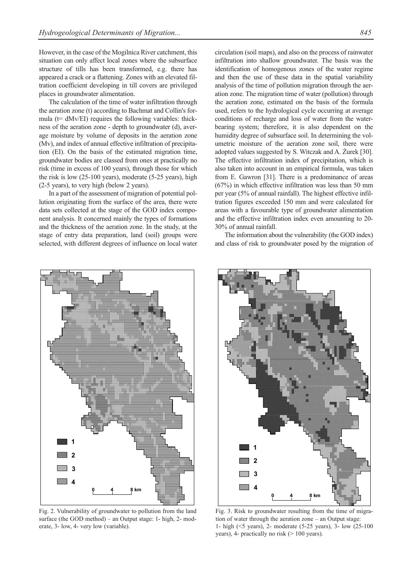However, in the case of the Mogilnica River catchment, this situation can only affect local zones where the subsurface structure of tills has been transformed, e.g. there has appeared a crack or a flattening. Zones with an elevated filtration coefficient developing in till covers are privileged places in groundwater alimentation.

The calculation of the time of water infiltration through the aeration zone (t) according to Bachmat and Collin's formula ( $t= dMv/EI$ ) requires the following variables: thickness of the aeration zone - depth to groundwater (d), average moisture by volume of deposits in the aeration zone (Mv), and index of annual effective infiltration of precipitation (EI). On the basis of the estimated migration time, groundwater bodies are classed from ones at practically no risk (time in excess of 100 years), through those for which the risk is low (25-100 years), moderate (5-25 years), high (2-5 years), to very high (below 2 years).

In a part of the assessment of migration of potential pollution originating from the surface of the area, there were data sets collected at the stage of the GOD index component analysis. It concerned mainly the types of formations and the thickness of the aeration zone. In the study, at the stage of entry data preparation, land (soil) groups were selected, with different degrees of influence on local water



Fig. 2. Vulnerability of groundwater to pollution from the land surface (the GOD method) – an Output stage: 1- high, 2- moderate, 3- low, 4- very low (variable).

circulation (soil maps), and also on the process of rainwater infiltration into shallow groundwater. The basis was the identification of homogenous zones of the water regime and then the use of these data in the spatial variability analysis of the time of pollution migration through the aeration zone. The migration time of water (pollution) through the aeration zone, estimated on the basis of the formula used, refers to the hydrological cycle occurring at average conditions of recharge and loss of water from the waterbearing system; therefore, it is also dependent on the humidity degree of subsurface soil. In determining the volumetric moisture of the aeration zone soil, there were adopted values suggested by S. Witczak and A. Żurek [30]. The effective infiltration index of precipitation, which is also taken into account in an empirical formula, was taken from E. Gawron [31]. There is a predominance of areas (67%) in which effective infiltration was less than 50 mm per year (5% of annual rainfall). The highest effective infiltration figures exceeded 150 mm and were calculated for areas with a favourable type of groundwater alimentation and the effective infiltration index even amounting to 20- 30% of annual rainfall.

The information about the vulnerability (the GOD index) and class of risk to groundwater posed by the migration of



Fig. 3. Risk to groundwater resulting from the time of migration of water through the aeration zone – an Output stage: 1- high (<5 years), 2- moderate (5-25 years), 3- low (25-100 years), 4- practically no risk (> 100 years).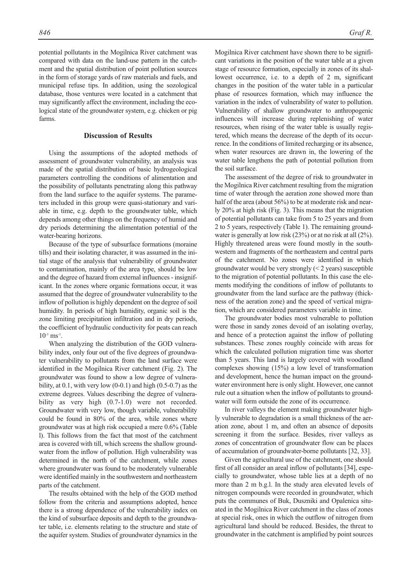potential pollutants in the Mogilnica River catchment was compared with data on the land-use pattern in the catchment and the spatial distribution of point pollution sources in the form of storage yards of raw materials and fuels, and municipal refuse tips. In addition, using the sozological database, those ventures were located in a catchment that may significantly affect the environment, including the ecological state of the groundwater system, e.g. chicken or pig farms.

#### **Discussion of Results**

Using the assumptions of the adopted methods of assessment of groundwater vulnerability, an analysis was made of the spatial distribution of basic hydrogeological parameters controlling the conditions of alimentation and the possibility of pollutants penetrating along this pathway from the land surface to the aquifer systems. The parameters included in this group were quasi-stationary and variable in time, e.g. depth to the groundwater table, which depends among other things on the frequency of humid and dry periods determining the alimentation potential of the water-bearing horizons.

Because of the type of subsurface formations (moraine tills) and their isolating character, it was assumed in the initial stage of the analysis that vulnerability of groundwater to contamination, mainly of the area type, should be low and the degree of hazard from external influences - insignificant. In the zones where organic formations occur, it was assumed that the degree of groundwater vulnerability to the inflow of pollution is highly dependent on the degree of soil humidity. In periods of high humidity, organic soil is the zone limiting precipitation infiltration and in dry periods, the coefficient of hydraulic conductivity for peats can reach  $10^{-3}$  ms<sup>-1</sup>.

When analyzing the distribution of the GOD vulnerability index, only four out of the five degrees of groundwater vulnerability to pollutants from the land surface were identified in the Mogilnica River catchment (Fig. 2). The groundwater was found to show a low degree of vulnerability, at  $0.1$ , with very low  $(0-0.1)$  and high  $(0.5-0.7)$  as the extreme degrees. Values describing the degree of vulnerability as very high  $(0.7-1.0)$  were not recorded. Groundwater with very low, though variable, vulnerability could be found in 80% of the area, while zones where groundwater was at high risk occupied a mere 0.6% (Table l). This follows from the fact that most of the catchment area is covered with till, which screens the shallow groundwater from the inflow of pollution. High vulnerability was determined in the north of the catchment, while zones where groundwater was found to be moderately vulnerable were identified mainly in the southwestern and northeastern parts of the catchment.

The results obtained with the help of the GOD method follow from the criteria and assumptions adopted, hence there is a strong dependence of the vulnerability index on the kind of subsurface deposits and depth to the groundwater table, i.e. elements relating to the structure and state of the aquifer system. Studies of groundwater dynamics in the

Mogilnica River catchment have shown there to be significant variations in the position of the water table at a given stage of resource formation, especially in zones of its shallowest occurrence, i.e. to a depth of 2 m, significant changes in the position of the water table in a particular phase of resources formation, which may influence the variation in the index of vulnerability of water to pollution. Vulnerability of shallow groundwater to anthropogenic influences will increase during replenishing of water resources, when rising of the water table is usually registered, which means the decrease of the depth of its occurrence. In the conditions of limited recharging or its absence, when water resources are drawn in, the lowering of the water table lengthens the path of potential pollution from the soil surface.

The assessment of the degree of risk to groundwater in the Mogilnica River catchment resulting from the migration time of water through the aeration zone showed more than half of the area (about 56%) to be at moderate risk and nearly 20% at high risk (Fig. 3). This means that the migration of potential pollutants can take from 5 to 25 years and from 2 to 5 years, respectively (Table 1). The remaining groundwater is generally at low risk (23%) or at no risk at all (2%). Highly threatened areas were found mostly in the southwestern and fragments of the northeastern and central parts of the catchment. No zones were identified in which groundwater would be very strongly (< 2 years) susceptible to the migration of potential pollutants. In this case the elements modifying the conditions of inflow of pollutants to groundwater from the land surface are the pathway (thickness of the aeration zone) and the speed of vertical migration, which are considered parameters variable in time.

The groundwater bodies most vulnerable to pollution were those in sandy zones devoid of an isolating overlay, and hence of a protection against the inflow of polluting substances. These zones roughly coincide with areas for which the calculated pollution migration time was shorter than 5 years. This land is largely covered with woodland complexes showing (15%) a low level of transformation and development, hence the human impact on the groundwater environment here is only slight. However, one cannot rule out a situation when the inflow of pollutants to groundwater will form outside the zone of its occurrence.

In river valleys the element making groundwater highly vulnerable to degradation is a small thickness of the aeration zone, about 1 m, and often an absence of deposits screening it from the surface. Besides, river valleys as zones of concentration of groundwater flow can be places of accumulation of groundwater-borne pollutants [32, 33].

Given the agricultural use of the catchment, one should first of all consider an areal inflow of pollutants [34], especially to groundwater, whose table lies at a depth of no more than 2 m b.g.l. In the study area elevated levels of nitrogen compounds were recorded in groundwater, which puts the communes of Buk, Duszniki and Opalenica situated in the Mogilnica River catchment in the class of zones at special risk, ones in which the outflow of nitrogen from agricultural land should be reduced. Besides, the threat to groundwater in the catchment is amplified by point sources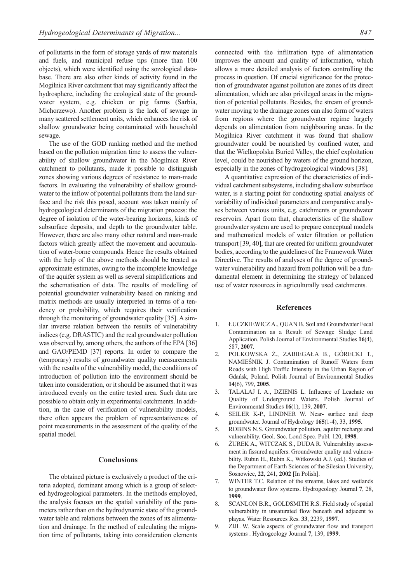of pollutants in the form of storage yards of raw materials and fuels, and municipal refuse tips (more than 100 objects), which were identified using the sozological database. There are also other kinds of activity found in the Mogilnica River catchment that may significantly affect the hydrosphere, including the ecological state of the groundwater system, e.g. chicken or pig farms (Sarbia, Michorzewo). Another problem is the lack of sewage in many scattered settlement units, which enhances the risk of shallow groundwater being contaminated with household sewage.

The use of the GOD ranking method and the method based on the pollution migration time to assess the vulnerability of shallow groundwater in the Mogilnica River catchment to pollutants, made it possible to distinguish zones showing various degrees of resistance to man-made factors. In evaluating the vulnerability of shallow groundwater to the inflow of potential pollutants from the land surface and the risk this posed, account was taken mainly of hydrogeological determinants of the migration process: the degree of isolation of the water-bearing horizons, kinds of subsurface deposits, and depth to the groundwater table. However, there are also many other natural and man-made factors which greatly affect the movement and accumulation of water-borne compounds. Hence the results obtained with the help of the above methods should be treated as approximate estimates, owing to the incomplete knowledge of the aquifer system as well as several simplifications and the schematisation of data. The results of modelling of potential groundwater vulnerability based on ranking and matrix methods are usually interpreted in terms of a tendency or probability, which requires their verification through the monitoring of groundwater quality [35]. A similar inverse relation between the results of vulnerability indices (e.g. DRASTIC) and the real groundwater pollution was observed by, among others, the authors of the EPA [36] and GAO/PEMD [37] reports. In order to compare the (temporary) results of groundwater quality measurements with the results of the vulnerability model, the conditions of introduction of pollution into the environment should be taken into consideration, or it should be assumed that it was introduced evenly on the entire tested area. Such data are possible to obtain only in experimental catchments. In addition, in the case of verification of vulnerability models, there often appears the problem of representativeness of point measurements in the assessment of the quality of the spatial model.

## **Conclusions**

The obtained picture is exclusively a product of the criteria adopted, dominant among which is a group of selected hydrogeological parameters. In the methods employed, the analysis focuses on the spatial variability of the parameters rather than on the hydrodynamic state of the groundwater table and relations between the zones of its alimentation and drainage. In the method of calculating the migration time of pollutants, taking into consideration elements connected with the infiltration type of alimentation improves the amount and quality of information, which allows a more detailed analysis of factors controlling the process in question. Of crucial significance for the protection of groundwater against pollution are zones of its direct alimentation, which are also privileged areas in the migration of potential pollutants. Besides, the stream of groundwater moving to the drainage zones can also form of waters from regions where the groundwater regime largely depends on alimentation from neighbouring areas. In the Mogilnica River catchment it was found that shallow groundwater could be nourished by confined water, and that the Wielkopolska Buried Valley, the chief exploitation level, could be nourished by waters of the ground horizon, especially in the zones of hydrogeological windows [38].

A quantitative expression of the characteristics of individual catchment subsystems, including shallow subsurface water, is a starting point for conducting spatial analysis of variability of individual parameters and comparative analyses between various units, e.g. catchments or groundwater reservoirs. Apart from that, characteristics of the shallow groundwater system are used to prepare conceptual models and mathematical models of water filtration or pollution transport [39, 40], that are created for uniform groundwater bodies, according to the guidelines of the Framework Water Directive. The results of analyses of the degree of groundwater vulnerability and hazard from pollution will be a fundamental element in determining the strategy of balanced use of water resources in agriculturally used catchments.

#### **References**

- 1. ŁUCZKIEWICZ A., QUAN B. Soil and Groundwater Fecal Contamination as a Result of Sewage Sludge Land Application. Polish Journal of Environmental Studies **16**(4), 587, **2007**.
- 2. POLKOWSKA Ż., ZABIEGAŁA B., GÓRECKI T., NAMIEŚNIK J. Contamination of Runoff Waters from Roads with High Traffic Intensity in the Urban Region of Gdańsk, Poland. Polish Journal of Environmental Studies **14**(6), 799, **2005**.
- TALALAJ I. A., DZIENIS L. Influence of Leachate on Quality of Underground Waters. Polish Journal of Environmental Studies **16**(1), 139, **2007**.
- 4. SEILER K-P., LINDNER W. Near- surface and deep groundwater. Journal of Hydrology **165**(1-4), 33, **1995**.
- 5. ROBINS N.S. Groundwater pollution, aquifer recharge and vulnerability. Geol. Soc. Lond Spec. Publ. 120, **1998**.
- 6. ŻUREK A., WITCZAK S., DUDA R. Vulnerability assessment in fissured aquifers. Groundwater quality and vulnerability. Rubin H., Rubin K., Witkowski A.J. (ed.). Studies of the Department of Earth Sciences of the Silesian University, Sosnowiec, **22**, 241, **2002** [In Polish].
- WINTER T.C. Relation of the streams, lakes and wetlands to groundwater flow systems. Hydrogeology Journal **7**, 28, **1999**.
- 8. SCANLON B.R., GOLDSMITH R.S. Field study of spatial vulnerability in unsaturated flow beneath and adjacent to playas. Water Resources Res. **33**, 2239, **1997**.
- 9. ZIJL W. Scale aspects of groundwater flow and transport systems . Hydrogeology Journal **7**, 139, **1999**.